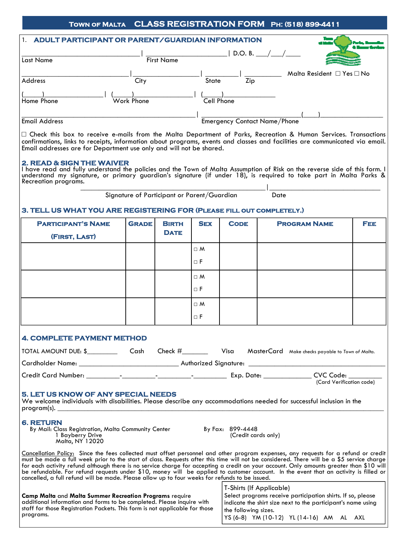## **Town of Malta CLASS REGISTRATION FORM Ph: (518) 899-4411**

| <b>ADULT PARTICIPANT OR PARENT/GUARDIAN INFORMATION</b> |                   |                                     |                                     |  |  |  |  |
|---------------------------------------------------------|-------------------|-------------------------------------|-------------------------------------|--|--|--|--|
| Last Name                                               | <b>First Name</b> |                                     |                                     |  |  |  |  |
| Address                                                 | City              | Zip<br><b>State</b>                 | Malta Resident $\Box$ Yes $\Box$ No |  |  |  |  |
| Home Phone                                              | Work Phone        | Cell Phone                          |                                     |  |  |  |  |
| <b>Email Address</b>                                    |                   | <b>Emergency Contact Name/Phone</b> |                                     |  |  |  |  |

□ Check this box to receive e-mails from the Malta Department of Parks, Recreation & Human Services. Transactions confirmations, links to receipts, information about programs, events and classes and facilities are communicated via email. Email addresses are for Department use only and will not be shared.

#### **2. READ & SIGN THE WAIVER**

I have read and fully understand the policies and the Town of Malta Assumption of Risk on the reverse side of this form. I understand my signature, or primary guardian's signature (if under 18), is required to take part in Malta Parks & Recreation programs. \_\_\_\_\_\_\_\_\_\_\_\_\_\_\_\_\_\_\_\_\_\_\_\_\_\_\_\_\_\_\_\_\_\_\_\_\_\_\_\_\_\_\_\_\_\_\_\_\_\_|\_\_\_\_\_\_\_\_\_\_\_\_\_\_\_\_\_\_\_\_\_\_\_\_\_\_\_\_\_\_

Signature of Participant or Parent/Guardian Date

## **3. TELL US WHAT YOU ARE REGISTERING FOR (Please fill out completely.)**

| <b>PARTICIPANT'S NAME</b>                                                                                                                                                        | <b>GRADE</b> | <b>BIRTH</b> | <b>SEX</b> | <b>CODE</b> | <b>PROGRAM NAME</b> | FEE. |  |  |  |
|----------------------------------------------------------------------------------------------------------------------------------------------------------------------------------|--------------|--------------|------------|-------------|---------------------|------|--|--|--|
| (FIRST, LAST)                                                                                                                                                                    |              | <b>DATE</b>  |            |             |                     |      |  |  |  |
|                                                                                                                                                                                  |              |              | $\Box$ M   |             |                     |      |  |  |  |
|                                                                                                                                                                                  |              |              | $\Box$ F   |             |                     |      |  |  |  |
|                                                                                                                                                                                  |              |              | $\Box$ M   |             |                     |      |  |  |  |
|                                                                                                                                                                                  |              |              | $\Box$ F   |             |                     |      |  |  |  |
|                                                                                                                                                                                  |              |              | $\Box$ M   |             |                     |      |  |  |  |
|                                                                                                                                                                                  |              |              | $\Box$ F   |             |                     |      |  |  |  |
| <b>4. COMPLETE PAYMENT METHOD</b>                                                                                                                                                |              |              |            |             |                     |      |  |  |  |
| TOTAL AMOUNT DUE: \$ Cash Check # Contack # Visa MasterCard Make checks payable to Town of Malta.                                                                                |              |              |            |             |                     |      |  |  |  |
|                                                                                                                                                                                  |              |              |            |             |                     |      |  |  |  |
|                                                                                                                                                                                  |              |              |            |             |                     |      |  |  |  |
| <b>5. LET US KNOW OF ANY SPECIAL NEEDS</b><br>We welcome individuals with disabilities. Please describe any accommodations needed for successful inclusion in the<br>program(s). |              |              |            |             |                     |      |  |  |  |

#### **6. RETURN**

By Mail: Class Registration, Malta Community Center By Fax: 899-4448 1 Bayberry Drive Malta, NY 12020

Cancellation Policy: Since the fees collected must offset personnel and other program expenses, any requests for a refund or credit must be made a full week prior to the start of class. Requests after this time will not be considered. There will be a \$5 service charge for each activity refund although there is no service charge for accepting a credit on your account. Only amounts greater than \$10 will be refundable. For refund requests under \$10, money will be applied to customer account. In the event that an activity is filled or cancelled, a full refund will be made. Please allow up to four weeks for refunds to be issued.

|                                                                                                                                                                                                                        | T-Shirts (If Applicable)                                                                                                                            |  |  |  |
|------------------------------------------------------------------------------------------------------------------------------------------------------------------------------------------------------------------------|-----------------------------------------------------------------------------------------------------------------------------------------------------|--|--|--|
| <b>Camp Malta and Malta Summer Recreation Programs require</b><br>additional information and forms to be completed. Please inquire with<br>staff for those Registration Packets. This form is not applicable for those | Select programs receive participation shirts. If so, please<br>indicate the shirt size next to the participant's name using<br>the following sizes. |  |  |  |
| programs.                                                                                                                                                                                                              | YS (6-8) YM (10-12) YL (14-16) AM AL AXL                                                                                                            |  |  |  |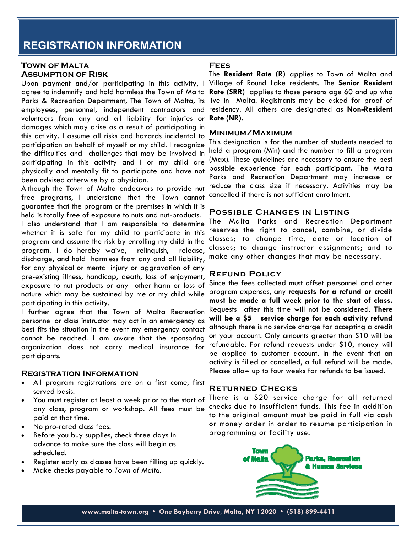## **REGISTRATION INFORMATION**

## **Town of Malta Assumption of Risk**

volunteers from any and all liability for injuries or **Rate (NR).**  damages which may arise as a result of participating in this activity. I assume all risks and hazards incidental to participation on behalf of myself or my child. I recognize the difficulties and challenges that may be involved in participating in this activity and I or my child are physically and mentally fit to participate and have not been advised otherwise by a physician.

Although the Town of Malta endeavors to provide nut free programs, I understand that the Town cannot guarantee that the program or the premises in which it is held is totally free of exposure to nuts and nut-products. I also understand that I am responsible to determine whether it is safe for my child to participate in this program and assume the risk by enrolling my child in the program. I do hereby waive, relinquish, release, discharge, and hold harmless from any and all liability, for any physical or mental injury or aggravation of any pre-existing illness, handicap, death, loss of enjoyment, exposure to nut products or any other harm or loss of nature which may be sustained by me or my child while participating in this activity.

I further agree that the Town of Malta Recreation personnel or class instructor may act in an emergency as best fits the situation in the event my emergency contact cannot be reached. I am aware that the sponsoring organization does not carry medical insurance for participants.

## **Registration Information**

- All program registrations are on a first come, first served basis.
- You must register at least a week prior to the start of any class, program or workshop. All fees must be paid at that time.
- No pro-rated class fees.
- Before you buy supplies, check three days in advance to make sure the class will begin as scheduled.
- Register early as classes have been filling up quickly.
- Make checks payable to *Town of Malta*.

#### **Fees**

Upon payment and/or participating in this activity, I Village of Round Lake residents. The **Senior Resident** agree to indemnify and hold harmless the Town of Malta **Rate (SRR)** applies to those persons age 60 and up who Parks & Recreation Department, The Town of Malta, its live in Malta. Registrants may be asked for proof of employees, personnel, independent contractors and residency. All others are designated as **Non-Resident** The **Resident Rate (R)** applies to Town of Malta and

## **Minimum/Maximum**

This designation is for the number of students needed to hold a program (Min) and the number to fill a program (Max). These guidelines are necessary to ensure the best possible experience for each participant. The Malta Parks and Recreation Department may increase or reduce the class size if necessary. Activities may be cancelled if there is not sufficient enrollment.

## **Possible Changes in Listing**

The Malta Parks and Recreation Department reserves the right to cancel, combine, or divide classes; to change time, date or location of classes; to change instructor assignments; and to make any other changes that may be necessary.

## **Refund Policy**

Since the fees collected must offset personnel and other program expenses, any **requests for a refund or credit must be made a full week prior to the start of class.**  Requests after this time will not be considered. **There will be a \$5 service charge for each activity refund**  although there is no service charge for accepting a credit on your account. Only amounts greater than \$10 will be refundable. For refund requests under \$10, money will be applied to customer account. In the event that an activity is filled or cancelled, a full refund will be made. Please allow up to four weeks for refunds to be issued.

## **Returned Checks**

There is a \$20 service charge for all returned checks due to insufficient funds. This fee in addition to the original amount must be paid in full via cash or money order in order to resume participation in programming or facility use.